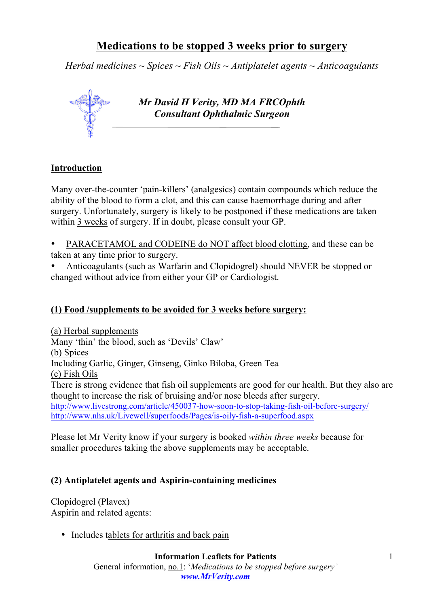# **Medications to be stopped 3 weeks prior to surgery**

*Herbal medicines ~ Spices ~ Fish Oils ~ Antiplatelet agents ~ Anticoagulants*



## **Introduction**

Many over-the-counter 'pain-killers' (analgesics) contain compounds which reduce the ability of the blood to form a clot, and this can cause haemorrhage during and after surgery. Unfortunately, surgery is likely to be postponed if these medications are taken within 3 weeks of surgery. If in doubt, please consult your GP.

• PARACETAMOL and CODEINE do NOT affect blood clotting, and these can be taken at any time prior to surgery.

• Anticoagulants (such as Warfarin and Clopidogrel) should NEVER be stopped or changed without advice from either your GP or Cardiologist.

## **(1) Food /supplements to be avoided for 3 weeks before surgery:**

(a) Herbal supplements Many 'thin' the blood, such as 'Devils' Claw' (b) Spices Including Garlic, Ginger, Ginseng, Ginko Biloba, Green Tea (c) Fish Oils There is strong evidence that fish oil supplements are good for our health. But they also are thought to increase the risk of bruising and/or nose bleeds after surgery. http://www.livestrong.com/article/450037-how-soon-to-stop-taking-fish-oil-before-surgery/ http://www.nhs.uk/Livewell/superfoods/Pages/is-oily-fish-a-superfood.aspx

Please let Mr Verity know if your surgery is booked *within three weeks* because for smaller procedures taking the above supplements may be acceptable.

## **(2) Antiplatelet agents and Aspirin-containing medicines**

Clopidogrel (Plavex) Aspirin and related agents:

• Includes tablets for arthritis and back pain

General information, no.1: '*Medications to be stopped before surgery' www.MrVerity.com*